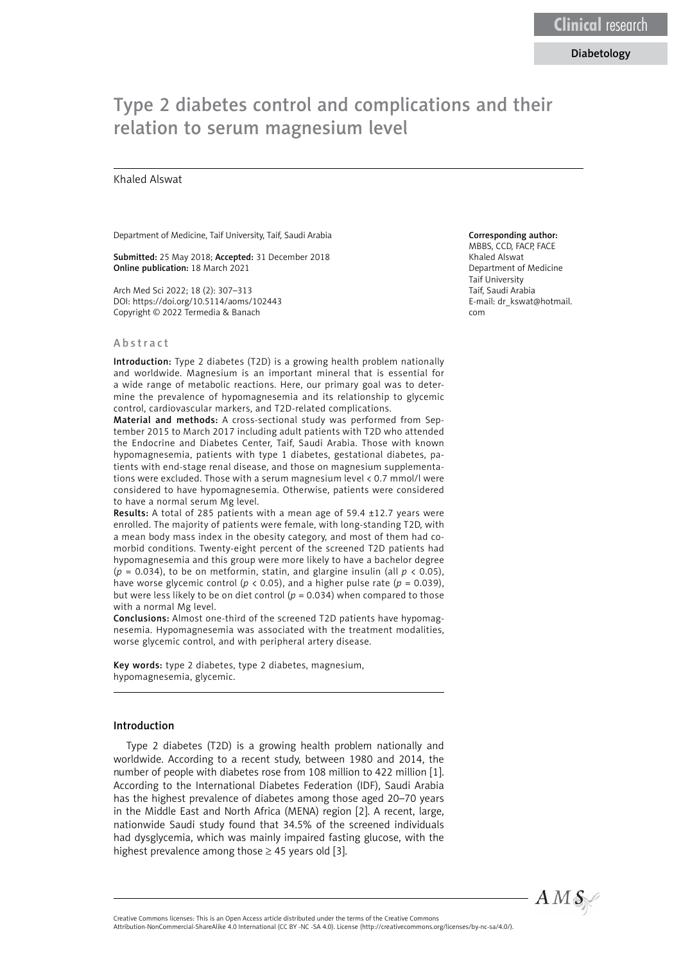# Type 2 diabetes control and complications and their relation to serum magnesium level

## Khaled Alswat

Department of Medicine, Taif University, Taif, Saudi Arabia

Submitted: 25 May 2018; Accepted: 31 December 2018 Online publication: 18 March 2021

Arch Med Sci 2022; 18 (2): 307–313 DOI: https://doi.org/10.5114/aoms/102443 Copyright © 2022 Termedia & Banach

#### Abstract

Introduction: Type 2 diabetes (T2D) is a growing health problem nationally and worldwide. Magnesium is an important mineral that is essential for a wide range of metabolic reactions. Here, our primary goal was to determine the prevalence of hypomagnesemia and its relationship to glycemic control, cardiovascular markers, and T2D-related complications.

Material and methods: A cross-sectional study was performed from September 2015 to March 2017 including adult patients with T2D who attended the Endocrine and Diabetes Center, Taif, Saudi Arabia. Those with known hypomagnesemia, patients with type 1 diabetes, gestational diabetes, patients with end-stage renal disease, and those on magnesium supplementations were excluded. Those with a serum magnesium level < 0.7 mmol/l were considered to have hypomagnesemia. Otherwise, patients were considered to have a normal serum Mg level.

Results: A total of 285 patients with a mean age of 59.4 ±12.7 years were enrolled. The majority of patients were female, with long-standing T2D, with a mean body mass index in the obesity category, and most of them had comorbid conditions. Twenty-eight percent of the screened T2D patients had hypomagnesemia and this group were more likely to have a bachelor degree ( $p = 0.034$ ), to be on metformin, statin, and glargine insulin (all  $p \lt 0.05$ ), have worse glycemic control ( $p < 0.05$ ), and a higher pulse rate ( $p = 0.039$ ), but were less likely to be on diet control ( $p = 0.034$ ) when compared to those with a normal Mg level.

Conclusions: Almost one-third of the screened T2D patients have hypomagnesemia. Hypomagnesemia was associated with the treatment modalities, worse glycemic control, and with peripheral artery disease.

Key words: type 2 diabetes, type 2 diabetes, magnesium, hypomagnesemia, glycemic.

## Introduction

Type 2 diabetes (T2D) is a growing health problem nationally and worldwide. According to a recent study, between 1980 and 2014, the number of people with diabetes rose from 108 million to 422 million [1]. According to the International Diabetes Federation (IDF), Saudi Arabia has the highest prevalence of diabetes among those aged 20–70 years in the Middle East and North Africa (MENA) region [2]. A recent, large, nationwide Saudi study found that 34.5% of the screened individuals had dysglycemia, which was mainly impaired fasting glucose, with the highest prevalence among those  $\geq$  45 years old [3].

# Corresponding author:

MBBS, CCD, FACP, FACE Khaled Alswat Department of Medicine Taif University Taif, Saudi Arabia E-mail: [dr\\_kswat@hotmail.](mailto:dr_kswat@hotmail.com) [com](mailto:dr_kswat@hotmail.com)



Creative Commons licenses: This is an Open Access article distributed under the terms of the Creative Commons Attribution-NonCommercial-ShareAlike 4.0 International (CC BY -NC -SA 4.0). License (http://creativecommons.org/licenses/by-nc-sa/4.0/).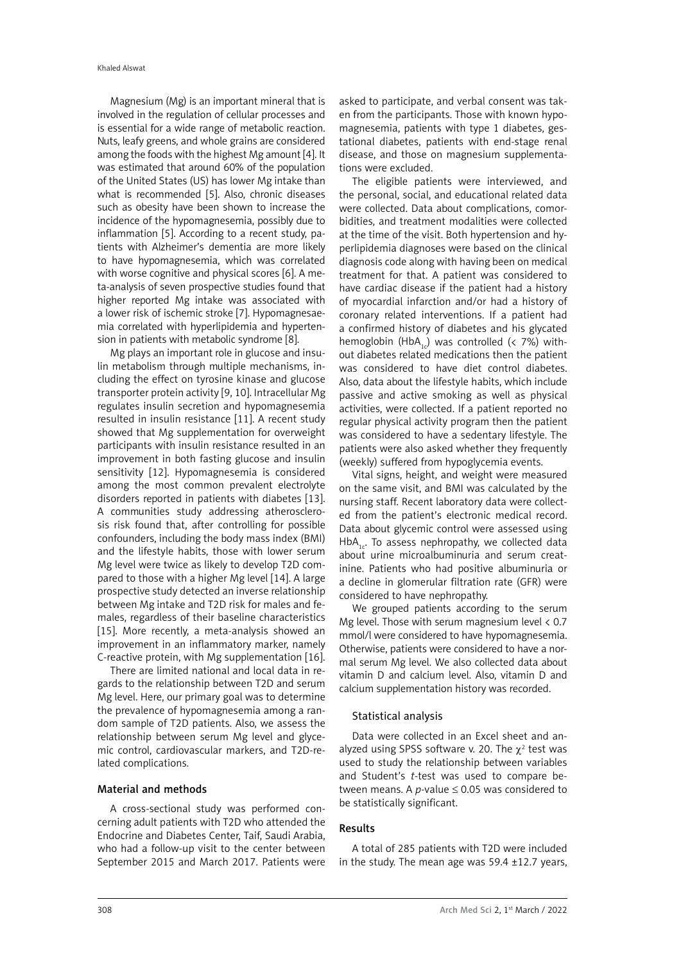Magnesium (Mg) is an important mineral that is involved in the regulation of cellular processes and is essential for a wide range of metabolic reaction. Nuts, leafy greens, and whole grains are considered among the foods with the highest Mg amount [4]. It was estimated that around 60% of the population of the United States (US) has lower Mg intake than what is recommended [5]. Also, chronic diseases such as obesity have been shown to increase the incidence of the hypomagnesemia, possibly due to inflammation [5]. According to a recent study, patients with Alzheimer's dementia are more likely to have hypomagnesemia, which was correlated with worse cognitive and physical scores [6]. A meta-analysis of seven prospective studies found that higher reported Mg intake was associated with a lower risk of ischemic stroke [7]. Hypomagnesaemia correlated with hyperlipidemia and hypertension in patients with metabolic syndrome [8].

Mg plays an important role in glucose and insulin metabolism through multiple mechanisms, including the effect on tyrosine kinase and glucose transporter protein activity [9, 10]. Intracellular Mg regulates insulin secretion and hypomagnesemia resulted in insulin resistance [11]. A recent study showed that Mg supplementation for overweight participants with insulin resistance resulted in an improvement in both fasting glucose and insulin sensitivity [12]. Hypomagnesemia is considered among the most common prevalent electrolyte disorders reported in patients with diabetes [13]. A communities study addressing atherosclerosis risk found that, after controlling for possible confounders, including the body mass index (BMI) and the lifestyle habits, those with lower serum Mg level were twice as likely to develop T2D compared to those with a higher Mg level [14]. A large prospective study detected an inverse relationship between Mg intake and T2D risk for males and females, regardless of their baseline characteristics [15]. More recently, a meta-analysis showed an improvement in an inflammatory marker, namely C-reactive protein, with Mg supplementation [16].

There are limited national and local data in regards to the relationship between T2D and serum Mg level. Here, our primary goal was to determine the prevalence of hypomagnesemia among a random sample of T2D patients. Also, we assess the relationship between serum Mg level and glycemic control, cardiovascular markers, and T2D-related complications.

## Material and methods

A cross-sectional study was performed concerning adult patients with T2D who attended the Endocrine and Diabetes Center, Taif, Saudi Arabia, who had a follow-up visit to the center between September 2015 and March 2017. Patients were

asked to participate, and verbal consent was taken from the participants. Those with known hypomagnesemia, patients with type 1 diabetes, gestational diabetes, patients with end-stage renal disease, and those on magnesium supplementations were excluded.

The eligible patients were interviewed, and the personal, social, and educational related data were collected. Data about complications, comorbidities, and treatment modalities were collected at the time of the visit. Both hypertension and hyperlipidemia diagnoses were based on the clinical diagnosis code along with having been on medical treatment for that. A patient was considered to have cardiac disease if the patient had a history of myocardial infarction and/or had a history of coronary related interventions. If a patient had a confirmed history of diabetes and his glycated hemoglobin (HbA<sub>1c</sub>) was controlled (< 7%) without diabetes related medications then the patient was considered to have diet control diabetes. Also, data about the lifestyle habits, which include passive and active smoking as well as physical activities, were collected. If a patient reported no regular physical activity program then the patient was considered to have a sedentary lifestyle. The patients were also asked whether they frequently (weekly) suffered from hypoglycemia events.

Vital signs, height, and weight were measured on the same visit, and BMI was calculated by the nursing staff. Recent laboratory data were collected from the patient's electronic medical record. Data about glycemic control were assessed using  $HbA<sub>1</sub>$ . To assess nephropathy, we collected data about urine microalbuminuria and serum creatinine. Patients who had positive albuminuria or a decline in glomerular filtration rate (GFR) were considered to have nephropathy.

We grouped patients according to the serum Mg level. Those with serum magnesium level < 0.7 mmol/l were considered to have hypomagnesemia. Otherwise, patients were considered to have a normal serum Mg level. We also collected data about vitamin D and calcium level. Also, vitamin D and calcium supplementation history was recorded.

#### Statistical analysis

Data were collected in an Excel sheet and analyzed using SPSS software v. 20. The  $\chi^2$  test was used to study the relationship between variables and Student's *t-*test was used to compare between means. A *p*-value  $\leq$  0.05 was considered to be statistically significant.

## Results

A total of 285 patients with T2D were included in the study. The mean age was  $59.4 \pm 12.7$  years,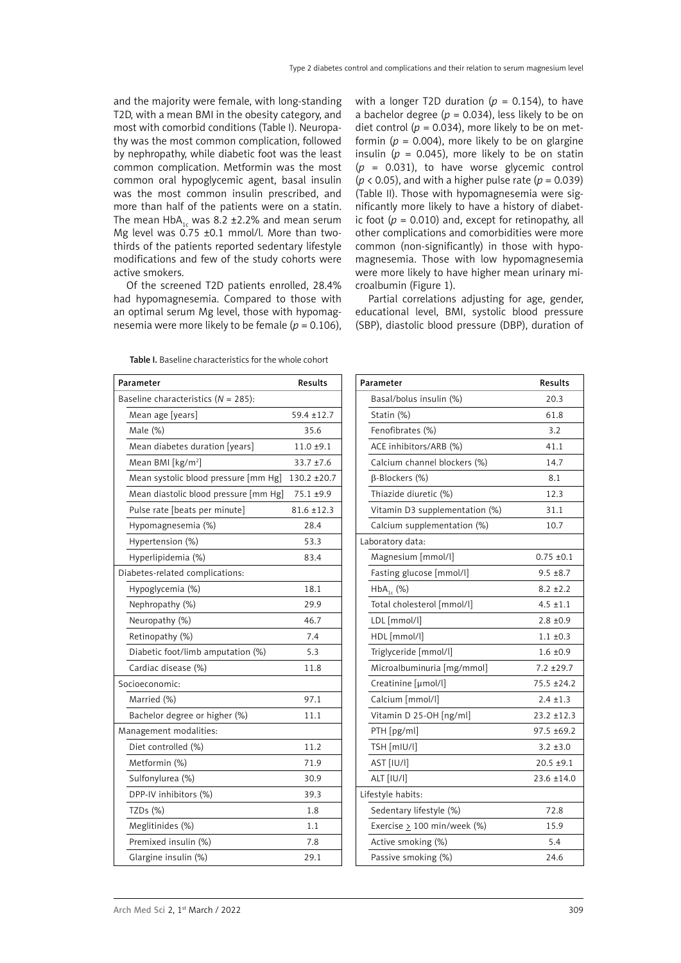and the majority were female, with long-standing T2D, with a mean BMI in the obesity category, and most with comorbid conditions (Table I). Neuropathy was the most common complication, followed by nephropathy, while diabetic foot was the least common complication. Metformin was the most common oral hypoglycemic agent, basal insulin was the most common insulin prescribed, and more than half of the patients were on a statin. The mean HbA<sub>1c</sub> was 8.2 ±2.2% and mean serum Mg level was  $0.75 \pm 0.1$  mmol/l. More than twothirds of the patients reported sedentary lifestyle modifications and few of the study cohorts were active smokers.

Of the screened T2D patients enrolled, 28.4% had hypomagnesemia. Compared to those with an optimal serum Mg level, those with hypomagnesemia were more likely to be female (*p* = 0.106), with a longer T2D duration ( $p = 0.154$ ), to have a bachelor degree ( $p = 0.034$ ), less likely to be on diet control ( $p = 0.034$ ), more likely to be on metformin ( $p = 0.004$ ), more likely to be on glargine insulin ( $p = 0.045$ ), more likely to be on statin (*p* = 0.031), to have worse glycemic control ( $p$  < 0.05), and with a higher pulse rate ( $p$  = 0.039) (Table II). Those with hypomagnesemia were significantly more likely to have a history of diabetic foot  $(p = 0.010)$  and, except for retinopathy, all other complications and comorbidities were more common (non-significantly) in those with hypomagnesemia. Those with low hypomagnesemia were more likely to have higher mean urinary microalbumin (Figure 1).

Partial correlations adjusting for age, gender, educational level, BMI, systolic blood pressure (SBP), diastolic blood pressure (DBP), duration of

|                                         | Parameter                             | Results         |  |  |
|-----------------------------------------|---------------------------------------|-----------------|--|--|
| Baseline characteristics ( $N = 285$ ): |                                       |                 |  |  |
|                                         | Mean age [years]                      | 59.4 ±12.7      |  |  |
|                                         | Male (%)                              | 35.6            |  |  |
|                                         | Mean diabetes duration [years]        | 11.0 ±9.1       |  |  |
|                                         | Mean BMI [kg/m <sup>2</sup> ]         | 33.7 ±7.6       |  |  |
|                                         | Mean systolic blood pressure [mm Hg]  | 130.2 ±20.7     |  |  |
|                                         | Mean diastolic blood pressure [mm Hg] | 75.1 ±9.9       |  |  |
|                                         | Pulse rate [beats per minute]         | $81.6 \pm 12.3$ |  |  |
|                                         | Hypomagnesemia (%)                    | 28.4            |  |  |
|                                         | Hypertension (%)                      | 53.3            |  |  |
|                                         | Hyperlipidemia (%)                    | 83.4            |  |  |
| Diabetes-related complications:         |                                       |                 |  |  |
|                                         | Hypoglycemia (%)                      | 18.1            |  |  |
|                                         | Nephropathy (%)                       | 29.9            |  |  |
|                                         | Neuropathy (%)                        | 46.7            |  |  |
|                                         | Retinopathy (%)                       | 7.4             |  |  |
|                                         | Diabetic foot/limb amputation (%)     | 5.3             |  |  |
|                                         | Cardiac disease (%)                   | 11.8            |  |  |
| Socioeconomic:                          |                                       |                 |  |  |
|                                         | Married (%)                           | 97.1            |  |  |
|                                         | Bachelor degree or higher (%)         | 11.1            |  |  |
|                                         | Management modalities:                |                 |  |  |
|                                         | Diet controlled (%)                   | 11.2            |  |  |
|                                         | Metformin (%)                         | 71.9            |  |  |
|                                         | Sulfonylurea (%)                      | 30.9            |  |  |
|                                         | DPP-IV inhibitors (%)                 | 39.3            |  |  |
|                                         | TZDs (%)                              | 1.8             |  |  |
|                                         | Meglitinides (%)                      | 1.1             |  |  |
|                                         | Premixed insulin (%)                  | 7.8             |  |  |
|                                         | Glargine insulin (%)                  | 29.1            |  |  |

Table I. Baseline characteristics for the whole cohort

| Parameter                        | <b>Results</b>  |  |  |
|----------------------------------|-----------------|--|--|
| Basal/bolus insulin (%)          | 20.3            |  |  |
| Statin (%)                       | 61.8            |  |  |
| Fenofibrates (%)                 | 3.2             |  |  |
| ACE inhibitors/ARB (%)           | 41.1            |  |  |
| Calcium channel blockers (%)     | 14.7            |  |  |
| β-Blockers (%)                   | 8.1             |  |  |
| Thiazide diuretic (%)            | 12.3            |  |  |
| Vitamin D3 supplementation (%)   | 31.1            |  |  |
| Calcium supplementation (%)      | 10.7            |  |  |
| Laboratory data:                 |                 |  |  |
| Magnesium [mmol/l]               | $0.75 \pm 0.1$  |  |  |
| Fasting glucose [mmol/l]         | $9.5 \pm 8.7$   |  |  |
| $HbA_{1c}$ (%)                   | $8.2 \pm 2.2$   |  |  |
| Total cholesterol [mmol/l]       | $4.5 \pm 1.1$   |  |  |
| LDL [mmol/l]                     | $2.8 \pm 0.9$   |  |  |
| HDL [mmol/l]                     | $1.1 \pm 0.3$   |  |  |
| Triglyceride [mmol/l]            | $1.6 \pm 0.9$   |  |  |
| Microalbuminuria [mg/mmol]       | $7.2 \pm 29.7$  |  |  |
| Creatinine [µmol/l]              | 75.5 ±24.2      |  |  |
| Calcium [mmol/l]                 | $2.4 \pm 1.3$   |  |  |
| Vitamin D 25-OH [ng/ml]          | $23.2 \pm 12.3$ |  |  |
| PTH [pg/ml]                      | $97.5 \pm 69.2$ |  |  |
| TSH [mIU/l]                      | $3.2 \pm 3.0$   |  |  |
| AST [IU/l]                       | $20.5 + 9.1$    |  |  |
| ALT [IU/l]                       | 23.6 ±14.0      |  |  |
| Lifestyle habits:                |                 |  |  |
| Sedentary lifestyle (%)          | 72.8            |  |  |
| Exercise $\geq$ 100 min/week (%) | 15.9            |  |  |
| Active smoking (%)               | 5.4             |  |  |
| Passive smoking (%)              | 24.6            |  |  |
|                                  |                 |  |  |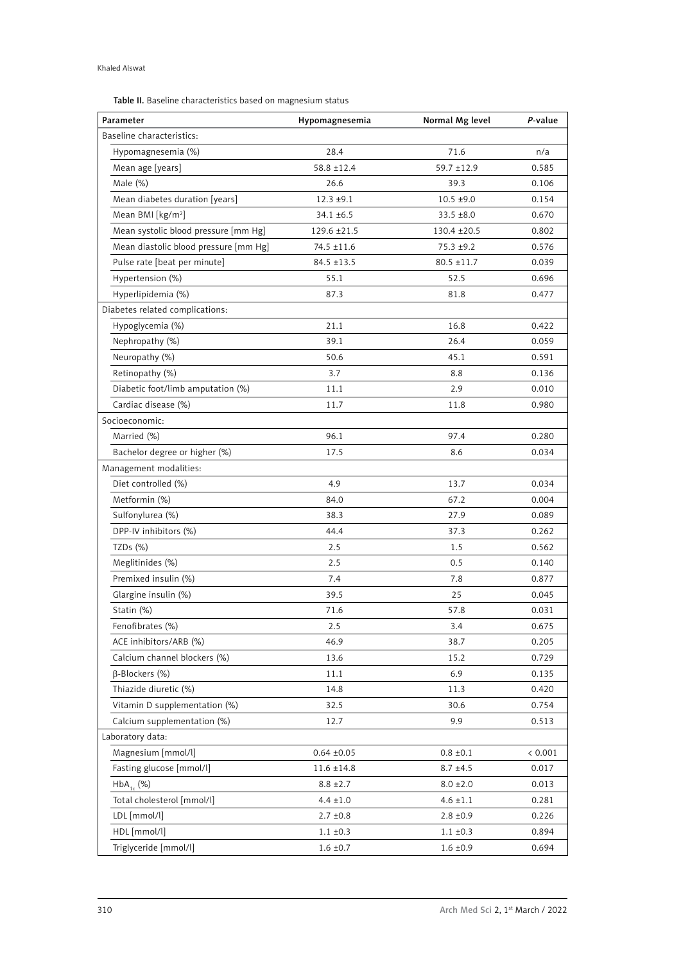Table II. Baseline characteristics based on magnesium status

| Parameter                             | Hypomagnesemia  | Normal Mg level | P-value |  |  |
|---------------------------------------|-----------------|-----------------|---------|--|--|
| Baseline characteristics:             |                 |                 |         |  |  |
| Hypomagnesemia (%)                    | 28.4            | 71.6            | n/a     |  |  |
| Mean age [years]                      | $58.8 \pm 12.4$ | $59.7 \pm 12.9$ | 0.585   |  |  |
| Male (%)                              | 26.6            | 39.3            | 0.106   |  |  |
| Mean diabetes duration [years]        | $12.3 + 9.1$    | $10.5 \pm 9.0$  | 0.154   |  |  |
| Mean BMI [kg/m <sup>2</sup> ]         | $34.1 \pm 6.5$  | $33.5 \pm 8.0$  | 0.670   |  |  |
| Mean systolic blood pressure [mm Hg]  | 129.6 ±21.5     | 130.4 ±20.5     | 0.802   |  |  |
| Mean diastolic blood pressure [mm Hg] | 74.5 ±11.6      | $75.3 \pm 9.2$  | 0.576   |  |  |
| Pulse rate [beat per minute]          | $84.5 \pm 13.5$ | $80.5 \pm 11.7$ | 0.039   |  |  |
| Hypertension (%)                      | 55.1            | 52.5            | 0.696   |  |  |
| Hyperlipidemia (%)                    | 87.3            | 81.8            | 0.477   |  |  |
| Diabetes related complications:       |                 |                 |         |  |  |
| Hypoglycemia (%)                      | 21.1            | 16.8            | 0.422   |  |  |
| Nephropathy (%)                       | 39.1            | 26.4            | 0.059   |  |  |
| Neuropathy (%)                        | 50.6            | 45.1            | 0.591   |  |  |
| Retinopathy (%)                       | 3.7             | 8.8             | 0.136   |  |  |
| Diabetic foot/limb amputation (%)     | 11.1            | 2.9             | 0.010   |  |  |
| Cardiac disease (%)                   | 11.7            | 11.8            | 0.980   |  |  |
| Socioeconomic:                        |                 |                 |         |  |  |
| Married (%)                           | 96.1            | 97.4            | 0.280   |  |  |
| Bachelor degree or higher (%)         | 17.5            | 8.6             | 0.034   |  |  |
| Management modalities:                |                 |                 |         |  |  |
| Diet controlled (%)                   | 4.9             | 13.7            | 0.034   |  |  |
| Metformin (%)                         | 84.0            | 67.2            | 0.004   |  |  |
| Sulfonylurea (%)                      | 38.3            | 27.9            | 0.089   |  |  |
| DPP-IV inhibitors (%)                 | 44.4            | 37.3            | 0.262   |  |  |
| TZDs (%)                              | 2.5             | 1.5             | 0.562   |  |  |
| Meglitinides (%)                      | 2.5             | 0.5             | 0.140   |  |  |
| Premixed insulin (%)                  | 7.4             | 7.8             | 0.877   |  |  |
| Glargine insulin (%)                  | 39.5            | 25              | 0.045   |  |  |
| Statin (%)                            | 71.6            | 57.8            | 0.031   |  |  |
| Fenofibrates (%)                      | 2.5             | 3.4             | 0.675   |  |  |
| ACE inhibitors/ARB (%)                | 46.9            | 38.7            | 0.205   |  |  |
| Calcium channel blockers (%)          | 13.6            | 15.2            | 0.729   |  |  |
| $\beta$ -Blockers (%)                 | 11.1            | 6.9             | 0.135   |  |  |
| Thiazide diuretic (%)                 | 14.8            | 11.3            | 0.420   |  |  |
| Vitamin D supplementation (%)         | 32.5            | 30.6            | 0.754   |  |  |
| Calcium supplementation (%)           | 12.7            | 9.9             | 0.513   |  |  |
| Laboratory data:                      |                 |                 |         |  |  |
| Magnesium [mmol/l]                    | $0.64 \pm 0.05$ | $0.8 \pm 0.1$   | < 0.001 |  |  |
| Fasting glucose [mmol/l]              | $11.6 \pm 14.8$ | $8.7 \pm 4.5$   | 0.017   |  |  |
| $HbA_1$ (%)                           | $8.8 \pm 2.7$   | $8.0 \pm 2.0$   | 0.013   |  |  |
| Total cholesterol [mmol/l]            | $4.4 \pm 1.0$   | $4.6 \pm 1.1$   | 0.281   |  |  |
| LDL [mmol/l]                          | $2.7 \pm 0.8$   | $2.8 \pm 0.9$   | 0.226   |  |  |
| HDL [mmol/l]                          | $1.1 \pm 0.3$   | $1.1 \pm 0.3$   | 0.894   |  |  |
| Triglyceride [mmol/l]                 | $1.6 \pm 0.7$   | $1.6 \pm 0.9$   | 0.694   |  |  |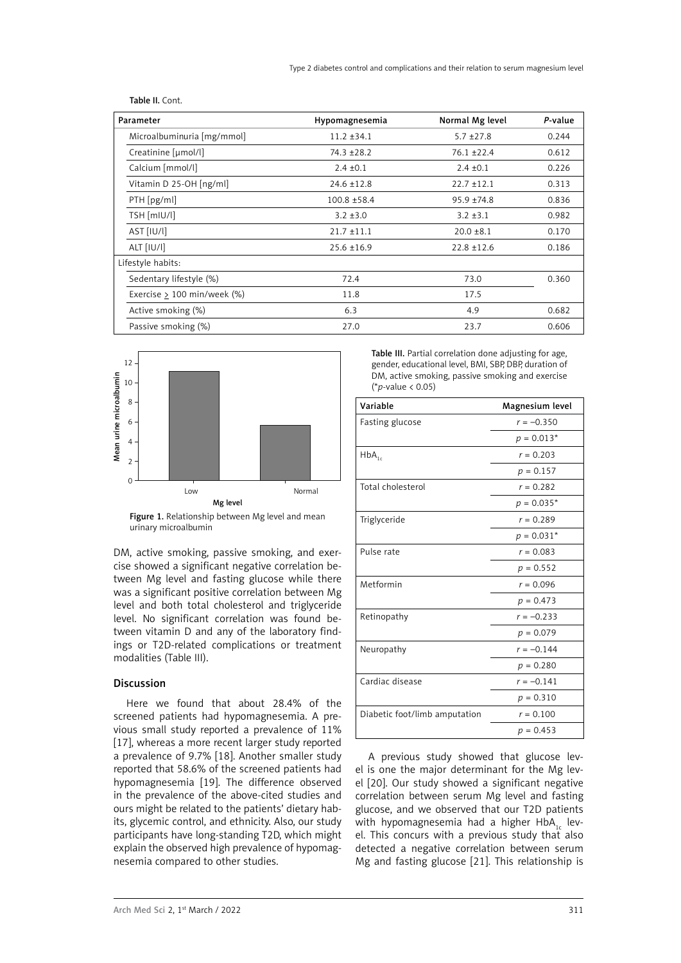| Parameter                     | Hypomagnesemia  | Normal Mg level | P-value |
|-------------------------------|-----------------|-----------------|---------|
| Microalbuminuria [mg/mmol]    | $11.2 \pm 34.1$ | $5.7 \pm 27.8$  | 0.244   |
| Creatinine [µmol/l]           | $74.3 + 28.2$   | $76.1 + 22.4$   | 0.612   |
| Calcium [mmol/l]              | $2.4 \pm 0.1$   | $2.4 \pm 0.1$   | 0.226   |
| Vitamin D 25-OH [ng/ml]       | $24.6 \pm 12.8$ | $22.7 + 12.1$   | 0.313   |
| $PTH$ [pg/ml]                 | $100.8 + 58.4$  | $95.9 + 74.8$   | 0.836   |
| TSH [mIU/l]                   | $3.2 \pm 3.0$   | $3.2 \pm 3.1$   | 0.982   |
| AST [IU/l]                    | $21.7 \pm 11.1$ | $20.0 \pm 8.1$  | 0.170   |
| ALT [IU/l]                    | $25.6 \pm 16.9$ | $22.8 \pm 12.6$ | 0.186   |
| Lifestyle habits:             |                 |                 |         |
| Sedentary lifestyle (%)       | 72.4            | 73.0            | 0.360   |
| Exercise $> 100$ min/week (%) | 11.8            | 17.5            |         |
| Active smoking (%)            | 6.3             | 4.9             | 0.682   |
| Passive smoking (%)           | 27.0            | 23.7            | 0.606   |

Table II. Cont.



Figure 1. Relationship between Mg level and mean urinary microalbumin

DM, active smoking, passive smoking, and exercise showed a significant negative correlation between Mg level and fasting glucose while there was a significant positive correlation between Mg level and both total cholesterol and triglyceride level. No significant correlation was found between vitamin D and any of the laboratory findings or T2D-related complications or treatment modalities (Table III).

## Discussion

Here we found that about 28.4% of the screened patients had hypomagnesemia. A previous small study reported a prevalence of 11% [17], whereas a more recent larger study reported a prevalence of 9.7% [18]. Another smaller study reported that 58.6% of the screened patients had hypomagnesemia [19]. The difference observed in the prevalence of the above-cited studies and ours might be related to the patients' dietary habits, glycemic control, and ethnicity. Also, our study participants have long-standing T2D, which might explain the observed high prevalence of hypomagnesemia compared to other studies.

Table III. Partial correlation done adjusting for age, gender, educational level, BMI, SBP, DBP, duration of DM, active smoking, passive smoking and exercise (\**p*-value < 0.05)

| Variable                      | Magnesium level |
|-------------------------------|-----------------|
| Fasting glucose               | $r = -0.350$    |
|                               | $p = 0.013*$    |
| $HbA_{1c}$                    | $r = 0.203$     |
|                               | $p = 0.157$     |
| Total cholesterol             | $r = 0.282$     |
|                               | $p = 0.035*$    |
| Triglyceride                  | $r = 0.289$     |
|                               | $p = 0.031*$    |
| Pulse rate                    | $r = 0.083$     |
|                               | $p = 0.552$     |
| Metformin                     | $r = 0.096$     |
|                               | $p = 0.473$     |
| Retinopathy                   | $r = -0.233$    |
|                               | $p = 0.079$     |
| Neuropathy                    | $r = -0.144$    |
|                               | $p = 0.280$     |
| Cardiac disease               | $r = -0.141$    |
|                               | $p = 0.310$     |
| Diabetic foot/limb amputation | $r = 0.100$     |
|                               | $p = 0.453$     |

A previous study showed that glucose level is one the major determinant for the Mg level [20]. Our study showed a significant negative correlation between serum Mg level and fasting glucose, and we observed that our T2D patients with hypomagnesemia had a higher HbA<sub>1c</sub> level. This concurs with a previous study that also detected a negative correlation between serum Mg and fasting glucose [21]. This relationship is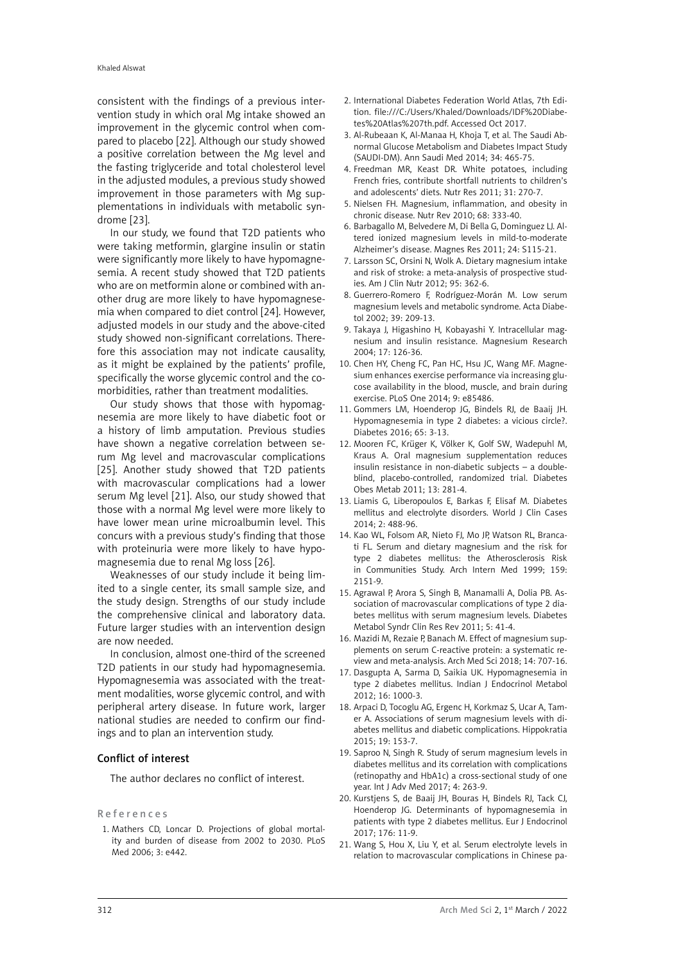consistent with the findings of a previous intervention study in which oral Mg intake showed an improvement in the glycemic control when compared to placebo [22]. Although our study showed a positive correlation between the Mg level and the fasting triglyceride and total cholesterol level in the adjusted modules, a previous study showed improvement in those parameters with Mg supplementations in individuals with metabolic syndrome [23].

In our study, we found that T2D patients who were taking metformin, glargine insulin or statin were significantly more likely to have hypomagnesemia. A recent study showed that T2D patients who are on metformin alone or combined with another drug are more likely to have hypomagnesemia when compared to diet control [24]. However, adjusted models in our study and the above-cited study showed non-significant correlations. Therefore this association may not indicate causality, as it might be explained by the patients' profile, specifically the worse glycemic control and the comorbidities, rather than treatment modalities.

Our study shows that those with hypomagnesemia are more likely to have diabetic foot or a history of limb amputation. Previous studies have shown a negative correlation between serum Mg level and macrovascular complications [25]. Another study showed that T2D patients with macrovascular complications had a lower serum Mg level [21]. Also, our study showed that those with a normal Mg level were more likely to have lower mean urine microalbumin level. This concurs with a previous study's finding that those with proteinuria were more likely to have hypomagnesemia due to renal Mg loss [26].

Weaknesses of our study include it being limited to a single center, its small sample size, and the study design. Strengths of our study include the comprehensive clinical and laboratory data. Future larger studies with an intervention design are now needed.

In conclusion, almost one-third of the screened T2D patients in our study had hypomagnesemia. Hypomagnesemia was associated with the treatment modalities, worse glycemic control, and with peripheral artery disease. In future work, larger national studies are needed to confirm our findings and to plan an intervention study.

# Conflict of interest

The author declares no conflict of interest.

#### References

1. Mathers CD, Loncar D. Projections of global mortality and burden of disease from 2002 to 2030. PLoS Med 2006; 3: e442.

- 2. International Diabetes Federation World Atlas, 7th Edition. [file:///C:/Users/Khaled/Downloads/IDF%20Diabe](file:///C:/Users/Khaled/Downloads/IDF%20Diabetes%20Atlas%207th.pdf)[tes%20Atlas%207th.pdf.](file:///C:/Users/Khaled/Downloads/IDF%20Diabetes%20Atlas%207th.pdf) Accessed Oct 2017.
- 3. Al-Rubeaan K, Al-Manaa H, Khoja T, et al. The Saudi Abnormal Glucose Metabolism and Diabetes Impact Study (SAUDI-DM). Ann Saudi Med 2014; 34: 465-75.
- 4. Freedman MR, Keast DR. White potatoes, including French fries, contribute shortfall nutrients to children's and adolescents' diets. Nutr Res 2011; 31: 270-7.
- 5. Nielsen FH. Magnesium, inflammation, and obesity in chronic disease. Nutr Rev 2010; 68: 333-40.
- 6. Barbagallo M, Belvedere M, Di Bella G, Dominguez LJ. Altered ionized magnesium levels in mild-to-moderate Alzheimer's disease. Magnes Res 2011; 24: S115-21.
- 7. Larsson SC, Orsini N, Wolk A. Dietary magnesium intake and risk of stroke: a meta-analysis of prospective studies. Am J Clin Nutr 2012; 95: 362-6.
- 8. Guerrero-Romero F, Rodríguez-Morán M. Low serum magnesium levels and metabolic syndrome. Acta Diabetol 2002; 39: 209-13.
- 9. Takaya J, Higashino H, Kobayashi Y. Intracellular magnesium and insulin resistance. Magnesium Research 2004; 17: 126-36.
- 10. Chen HY, Cheng FC, Pan HC, Hsu JC, Wang MF. Magnesium enhances exercise performance via increasing glucose availability in the blood, muscle, and brain during exercise. PLoS One 2014; 9: e85486.
- 11. Gommers LM, Hoenderop JG, Bindels RJ, de Baaij JH. Hypomagnesemia in type 2 diabetes: a vicious circle?. Diabetes 2016; 65: 3-13.
- 12. Mooren FC, Krüger K, Völker K, Golf SW, Wadepuhl M, Kraus A. Oral magnesium supplementation reduces insulin resistance in non-diabetic subjects – a doubleblind, placebo-controlled, randomized trial. Diabetes Obes Metab 2011; 13: 281-4.
- 13. Liamis G, Liberopoulos E, Barkas F, Elisaf M. Diabetes mellitus and electrolyte disorders. World J Clin Cases 2014; 2: 488-96.
- 14. Kao WL, Folsom AR, Nieto FJ, Mo JP, Watson RL, Brancati FL. Serum and dietary magnesium and the risk for type 2 diabetes mellitus: the Atherosclerosis Risk in Communities Study. Arch Intern Med 1999; 159: 2151-9.
- 15. Agrawal P, Arora S, Singh B, Manamalli A, Dolia PB. Association of macrovascular complications of type 2 diabetes mellitus with serum magnesium levels. Diabetes Metabol Syndr Clin Res Rev 2011; 5: 41-4.
- 16. Mazidi M, Rezaie P, Banach M. Effect of magnesium supplements on serum C-reactive protein: a systematic review and meta-analysis. Arch Med Sci 2018; 14: 707-16.
- 17. Dasgupta A, Sarma D, Saikia UK. Hypomagnesemia in type 2 diabetes mellitus. Indian J Endocrinol Metabol 2012; 16: 1000-3.
- 18. Arpaci D, Tocoglu AG, Ergenc H, Korkmaz S, Ucar A, Tamer A. Associations of serum magnesium levels with diabetes mellitus and diabetic complications. Hippokratia 2015; 19: 153-7.
- 19. Saproo N, Singh R. Study of serum magnesium levels in diabetes mellitus and its correlation with complications (retinopathy and HbA1c) a cross-sectional study of one year. Int J Adv Med 2017; 4: 263-9.
- 20. Kurstjens S, de Baaij JH, Bouras H, Bindels RJ, Tack CJ, Hoenderop JG. Determinants of hypomagnesemia in patients with type 2 diabetes mellitus. Eur J Endocrinol 2017; 176: 11-9.
- 21. Wang S, Hou X, Liu Y, et al. Serum electrolyte levels in relation to macrovascular complications in Chinese pa-